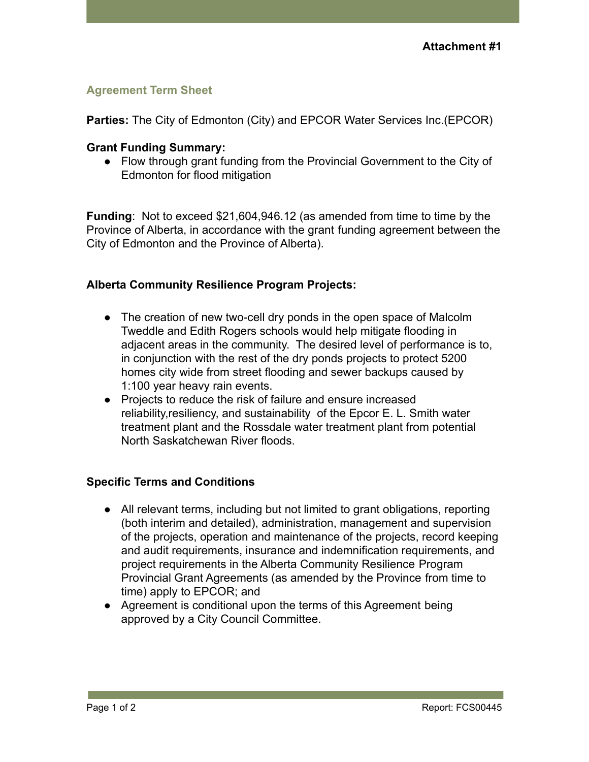## **Agreement Term Sheet**

**Parties:** The City of Edmonton (City) and EPCOR Water Services Inc.(EPCOR)

## **Grant Funding Summary:**

● Flow through grant funding from the Provincial Government to the City of Edmonton for flood mitigation

**Funding**: Not to exceed \$21,604,946.12 (as amended from time to time by the Province of Alberta, in accordance with the grant funding agreement between the City of Edmonton and the Province of Alberta).

## **Alberta Community Resilience Program Projects:**

- **●** The creation of new two-cell dry ponds in the open space of Malcolm Tweddle and Edith Rogers schools would help mitigate flooding in adjacent areas in the community. The desired level of performance is to, in conjunction with the rest of the dry ponds projects to protect 5200 homes city wide from street flooding and sewer backups caused by 1:100 year heavy rain events.
- **●** Projects to reduce the risk of failure and ensure increased reliability,resiliency, and sustainability of the Epcor E. L. Smith water treatment plant and the Rossdale water treatment plant from potential North Saskatchewan River floods.

## **Specific Terms and Conditions**

- All relevant terms, including but not limited to grant obligations, reporting (both interim and detailed), administration, management and supervision of the projects, operation and maintenance of the projects, record keeping and audit requirements, insurance and indemnification requirements, and project requirements in the Alberta Community Resilience Program Provincial Grant Agreements (as amended by the Province from time to time) apply to EPCOR; and
- Agreement is conditional upon the terms of this Agreement being approved by a City Council Committee.